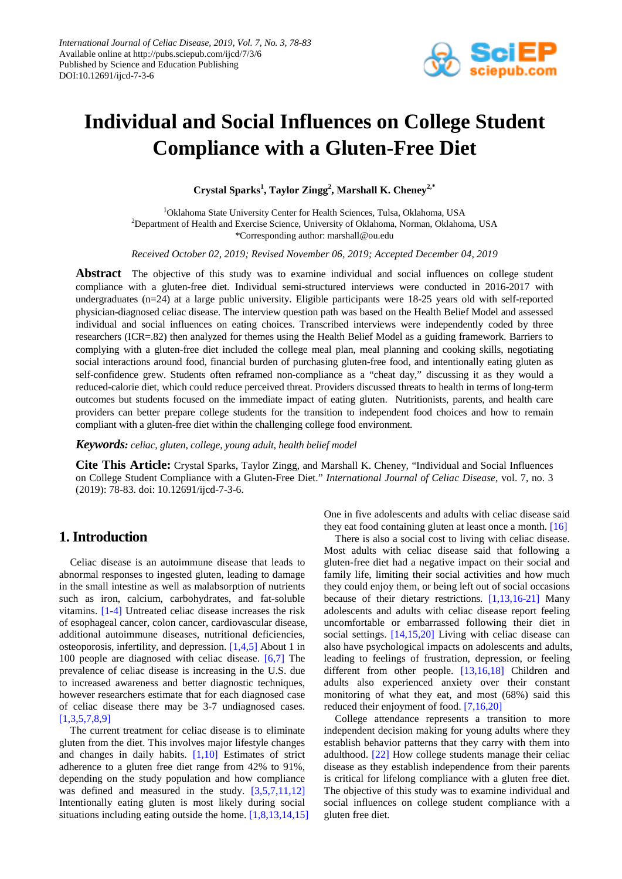

# **Individual and Social Influences on College Student Compliance with a Gluten-Free Diet**

**Crystal Sparks1 , Taylor Zingg<sup>2</sup> , Marshall K. Cheney2,\***

<sup>1</sup>Oklahoma State University Center for Health Sciences, Tulsa, Oklahoma, USA <sup>2</sup>Department of Health and Exercise Science, University of Oklahoma, Norman, Oklahoma, USA \*Corresponding author: marshall@ou.edu

*Received October 02, 2019; Revised November 06, 2019; Accepted December 04, 2019*

**Abstract** The objective of this study was to examine individual and social influences on college student compliance with a gluten-free diet. Individual semi-structured interviews were conducted in 2016-2017 with undergraduates (n=24) at a large public university. Eligible participants were 18-25 years old with self-reported physician-diagnosed celiac disease. The interview question path was based on the Health Belief Model and assessed individual and social influences on eating choices. Transcribed interviews were independently coded by three researchers (ICR=.82) then analyzed for themes using the Health Belief Model as a guiding framework. Barriers to complying with a gluten-free diet included the college meal plan, meal planning and cooking skills, negotiating social interactions around food, financial burden of purchasing gluten-free food, and intentionally eating gluten as self-confidence grew. Students often reframed non-compliance as a "cheat day," discussing it as they would a reduced-calorie diet, which could reduce perceived threat. Providers discussed threats to health in terms of long-term outcomes but students focused on the immediate impact of eating gluten. Nutritionists, parents, and health care providers can better prepare college students for the transition to independent food choices and how to remain compliant with a gluten-free diet within the challenging college food environment.

*Keywords: celiac, gluten, college, young adult, health belief model*

**Cite This Article:** Crystal Sparks, Taylor Zingg, and Marshall K. Cheney, "Individual and Social Influences on College Student Compliance with a Gluten-Free Diet." *International Journal of Celiac Disease*, vol. 7, no. 3 (2019): 78-83. doi: 10.12691/ijcd-7-3-6.

# **1. Introduction**

Celiac disease is an autoimmune disease that leads to abnormal responses to ingested gluten, leading to damage in the small intestine as well as malabsorption of nutrients such as iron, calcium, carbohydrates, and fat-soluble vitamins. [\[1-4\]](#page-4-0) Untreated celiac disease increases the risk of esophageal cancer, colon cancer, cardiovascular disease, additional autoimmune diseases, nutritional deficiencies, osteoporosis, infertility, and depression. [\[1,4,5\]](#page-4-0) About 1 in 100 people are diagnosed with celiac disease. [\[6,7\]](#page-5-0) The prevalence of celiac disease is increasing in the U.S. due to increased awareness and better diagnostic techniques, however researchers estimate that for each diagnosed case of celiac disease there may be 3-7 undiagnosed cases. [\[1,3,5,7,8,9\]](#page-4-0)

The current treatment for celiac disease is to eliminate gluten from the diet. This involves major lifestyle changes and changes in daily habits. [\[1,10\]](#page-4-0) Estimates of strict adherence to a gluten free diet range from 42% to 91%, depending on the study population and how compliance was defined and measured in the study. [\[3,5,7,11,12\]](#page-5-1) Intentionally eating gluten is most likely during social situations including eating outside the home. [\[1,8,13,14,15\]](#page-4-0) One in five adolescents and adults with celiac disease said they eat food containing gluten at least once a month. [\[16\]](#page-5-2)

There is also a social cost to living with celiac disease. Most adults with celiac disease said that following a gluten-free diet had a negative impact on their social and family life, limiting their social activities and how much they could enjoy them, or being left out of social occasions because of their dietary restrictions. [\[1,13,16-21\]](#page-4-0) Many adolescents and adults with celiac disease report feeling uncomfortable or embarrassed following their diet in social settings. [\[14,15,20\]](#page-5-3) Living with celiac disease can also have psychological impacts on adolescents and adults, leading to feelings of frustration, depression, or feeling different from other people. [\[13,16,18\]](#page-5-4) Children and adults also experienced anxiety over their constant monitoring of what they eat, and most (68%) said this reduced their enjoyment of food. [\[7,16,20\]](#page-5-5)

College attendance represents a transition to more independent decision making for young adults where they establish behavior patterns that they carry with them into adulthood. [\[22\]](#page-5-6) How college students manage their celiac disease as they establish independence from their parents is critical for lifelong compliance with a gluten free diet. The objective of this study was to examine individual and social influences on college student compliance with a gluten free diet.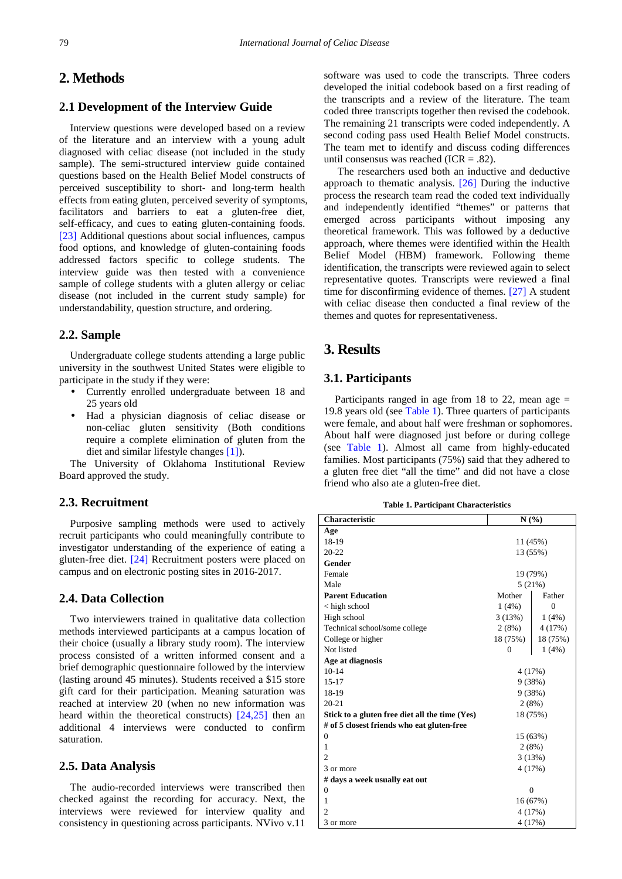# **2. Methods**

## **2.1 Development of the Interview Guide**

Interview questions were developed based on a review of the literature and an interview with a young adult diagnosed with celiac disease (not included in the study sample). The semi-structured interview guide contained questions based on the Health Belief Model constructs of perceived susceptibility to short- and long-term health effects from eating gluten, perceived severity of symptoms, facilitators and barriers to eat a gluten-free diet, self-efficacy, and cues to eating gluten-containing foods. [\[23\]](#page-5-7) Additional questions about social influences, campus food options, and knowledge of gluten-containing foods addressed factors specific to college students. The interview guide was then tested with a convenience sample of college students with a gluten allergy or celiac disease (not included in the current study sample) for understandability, question structure, and ordering.

## **2.2. Sample**

Undergraduate college students attending a large public university in the southwest United States were eligible to participate in the study if they were:

- Currently enrolled undergraduate between 18 and 25 years old
- Had a physician diagnosis of celiac disease or non-celiac gluten sensitivity (Both conditions require a complete elimination of gluten from the diet and similar lifestyle changes [\[1\]\)](#page-4-0).

The University of Oklahoma Institutional Review Board approved the study.

# **2.3. Recruitment**

Purposive sampling methods were used to actively recruit participants who could meaningfully contribute to investigator understanding of the experience of eating a gluten-free diet. [\[24\]](#page-5-8) Recruitment posters were placed on campus and on electronic posting sites in 2016-2017.

# **2.4. Data Collection**

Two interviewers trained in qualitative data collection methods interviewed participants at a campus location of their choice (usually a library study room). The interview process consisted of a written informed consent and a brief demographic questionnaire followed by the interview (lasting around 45 minutes). Students received a \$15 store gift card for their participation. Meaning saturation was reached at interview 20 (when no new information was heard within the theoretical constructs) [\[24,25\]](#page-5-8) then an additional 4 interviews were conducted to confirm saturation.

## **2.5. Data Analysis**

The audio-recorded interviews were transcribed then checked against the recording for accuracy. Next, the interviews were reviewed for interview quality and consistency in questioning across participants. NVivo v.11

software was used to code the transcripts. Three coders developed the initial codebook based on a first reading of the transcripts and a review of the literature. The team coded three transcripts together then revised the codebook. The remaining 21 transcripts were coded independently. A second coding pass used Health Belief Model constructs. The team met to identify and discuss coding differences until consensus was reached (ICR = .82).

The researchers used both an inductive and deductive approach to thematic analysis. [\[26\]](#page-5-9) During the inductive process the research team read the coded text individually and independently identified "themes" or patterns that emerged across participants without imposing any theoretical framework. This was followed by a deductive approach, where themes were identified within the Health Belief Model (HBM) framework. Following theme identification, the transcripts were reviewed again to select representative quotes. Transcripts were reviewed a final time for disconfirming evidence of themes. [\[27\]](#page-5-10) A student with celiac disease then conducted a final review of the themes and quotes for representativeness.

# **3. Results**

## **3.1. Participants**

Participants ranged in age from 18 to 22, mean age  $=$ 19.8 years old (see [Table 1\)](#page-1-0). Three quarters of participants were female, and about half were freshman or sophomores. About half were diagnosed just before or during college (see [Table 1\)](#page-1-0). Almost all came from highly-educated families. Most participants (75%) said that they adhered to a gluten free diet "all the time" and did not have a close friend who also ate a gluten-free diet.

| <b>Table 1. Participant Characteristics</b> |  |
|---------------------------------------------|--|
|---------------------------------------------|--|

<span id="page-1-0"></span>

| <b>Characteristic</b>                          | N(%)           |                |
|------------------------------------------------|----------------|----------------|
| Age                                            |                |                |
| 18-19                                          | 11 (45%)       |                |
| 20-22                                          | 13 (55%)       |                |
| Gender                                         |                |                |
| Female                                         | 19 (79%)       |                |
| Male                                           | 5(21%)         |                |
| <b>Parent Education</b>                        | Mother         | Father         |
| $\langle$ high school                          | 1(4%)          | $\overline{0}$ |
| High school                                    | 3(13%)         | 1(4%)          |
| Technical school/some college                  | 2(8%)          | 4(17%)         |
| College or higher                              | 18 (75%)       | 18 (75%)       |
| Not listed                                     | $\mathbf{0}$   | 1(4%)          |
| Age at diagnosis                               |                |                |
| $10 - 14$                                      | 4(17%)         |                |
| 15-17                                          | 9(38%)         |                |
| 18-19                                          | 9(38%)         |                |
| $20 - 21$                                      | 2(8%)          |                |
| Stick to a gluten free diet all the time (Yes) | 18 (75%)       |                |
| # of 5 closest friends who eat gluten-free     |                |                |
| $\theta$                                       | 15 (63%)       |                |
| 1                                              | 2(8%)          |                |
| $\mathcal{D}_{\mathcal{A}}$                    | 3(13%)         |                |
| 3 or more                                      | 4(17%)         |                |
| # days a week usually eat out                  |                |                |
| $\overline{0}$                                 | $\overline{0}$ |                |
| 1                                              | 16 (67%)       |                |
| $\overline{c}$                                 | 4(17%)         |                |
| 3 or more                                      | 4 (17%)        |                |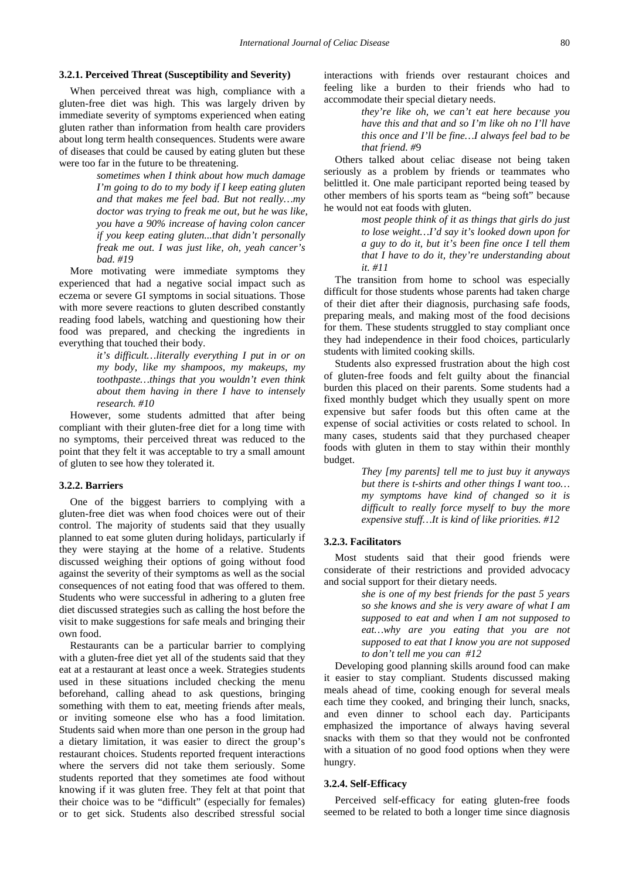#### **3.2.1. Perceived Threat (Susceptibility and Severity)**

When perceived threat was high, compliance with a gluten-free diet was high. This was largely driven by immediate severity of symptoms experienced when eating gluten rather than information from health care providers about long term health consequences. Students were aware of diseases that could be caused by eating gluten but these were too far in the future to be threatening.

> *sometimes when I think about how much damage I'm going to do to my body if I keep eating gluten and that makes me feel bad. But not really…my doctor was trying to freak me out, but he was like, you have a 90% increase of having colon cancer if you keep eating gluten...that didn't personally freak me out. I was just like, oh, yeah cancer's bad. #19*

More motivating were immediate symptoms they experienced that had a negative social impact such as eczema or severe GI symptoms in social situations. Those with more severe reactions to gluten described constantly reading food labels, watching and questioning how their food was prepared, and checking the ingredients in everything that touched their body.

> *it's difficult…literally everything I put in or on my body, like my shampoos, my makeups, my toothpaste…things that you wouldn't even think about them having in there I have to intensely research. #10*

However, some students admitted that after being compliant with their gluten-free diet for a long time with no symptoms, their perceived threat was reduced to the point that they felt it was acceptable to try a small amount of gluten to see how they tolerated it.

#### **3.2.2. Barriers**

One of the biggest barriers to complying with a gluten-free diet was when food choices were out of their control. The majority of students said that they usually planned to eat some gluten during holidays, particularly if they were staying at the home of a relative. Students discussed weighing their options of going without food against the severity of their symptoms as well as the social consequences of not eating food that was offered to them. Students who were successful in adhering to a gluten free diet discussed strategies such as calling the host before the visit to make suggestions for safe meals and bringing their own food.

Restaurants can be a particular barrier to complying with a gluten-free diet yet all of the students said that they eat at a restaurant at least once a week. Strategies students used in these situations included checking the menu beforehand, calling ahead to ask questions, bringing something with them to eat, meeting friends after meals, or inviting someone else who has a food limitation. Students said when more than one person in the group had a dietary limitation, it was easier to direct the group's restaurant choices. Students reported frequent interactions where the servers did not take them seriously. Some students reported that they sometimes ate food without knowing if it was gluten free. They felt at that point that their choice was to be "difficult" (especially for females) or to get sick. Students also described stressful social

interactions with friends over restaurant choices and feeling like a burden to their friends who had to accommodate their special dietary needs.

> *they're like oh, we can't eat here because you have this and that and so I'm like oh no I'll have this once and I'll be fine…I always feel bad to be that friend. #*9

Others talked about celiac disease not being taken seriously as a problem by friends or teammates who belittled it. One male participant reported being teased by other members of his sports team as "being soft" because he would not eat foods with gluten.

> *most people think of it as things that girls do just to lose weight…I'd say it's looked down upon for a guy to do it, but it's been fine once I tell them that I have to do it, they're understanding about it. #11*

The transition from home to school was especially difficult for those students whose parents had taken charge of their diet after their diagnosis, purchasing safe foods, preparing meals, and making most of the food decisions for them. These students struggled to stay compliant once they had independence in their food choices, particularly students with limited cooking skills.

Students also expressed frustration about the high cost of gluten-free foods and felt guilty about the financial burden this placed on their parents. Some students had a fixed monthly budget which they usually spent on more expensive but safer foods but this often came at the expense of social activities or costs related to school. In many cases, students said that they purchased cheaper foods with gluten in them to stay within their monthly budget.

> *They [my parents] tell me to just buy it anyways but there is t-shirts and other things I want too… my symptoms have kind of changed so it is difficult to really force myself to buy the more expensive stuff…It is kind of like priorities. #12*

#### **3.2.3. Facilitators**

Most students said that their good friends were considerate of their restrictions and provided advocacy and social support for their dietary needs.

> *she is one of my best friends for the past 5 years so she knows and she is very aware of what I am supposed to eat and when I am not supposed to eat…why are you eating that you are not supposed to eat that I know you are not supposed to don't tell me you can #12*

Developing good planning skills around food can make it easier to stay compliant. Students discussed making meals ahead of time, cooking enough for several meals each time they cooked, and bringing their lunch, snacks, and even dinner to school each day. Participants emphasized the importance of always having several snacks with them so that they would not be confronted with a situation of no good food options when they were hungry.

#### **3.2.4. Self-Efficacy**

Perceived self-efficacy for eating gluten-free foods seemed to be related to both a longer time since diagnosis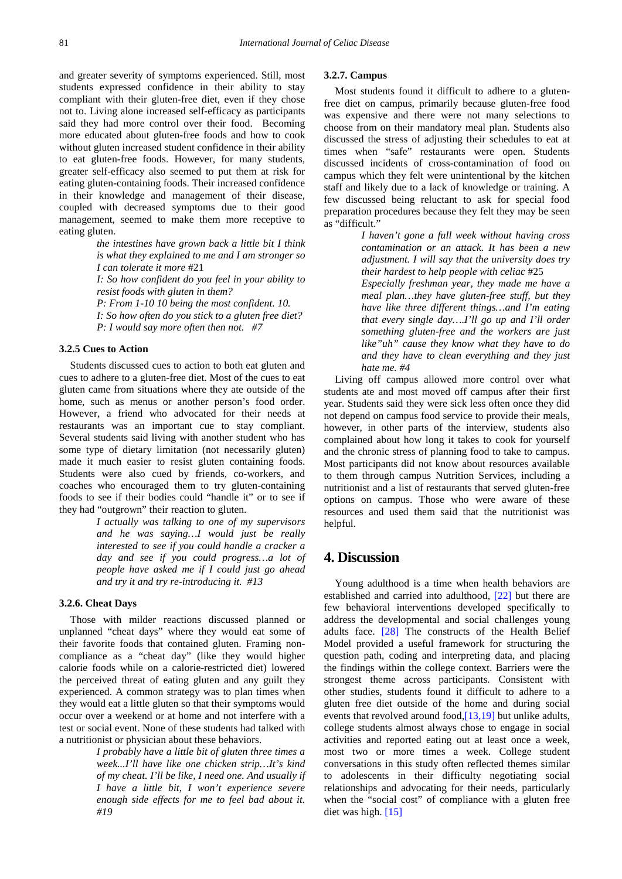and greater severity of symptoms experienced. Still, most students expressed confidence in their ability to stay compliant with their gluten-free diet, even if they chose not to. Living alone increased self-efficacy as participants said they had more control over their food. Becoming more educated about gluten-free foods and how to cook without gluten increased student confidence in their ability to eat gluten-free foods. However, for many students, greater self-efficacy also seemed to put them at risk for eating gluten-containing foods. Their increased confidence in their knowledge and management of their disease, coupled with decreased symptoms due to their good management, seemed to make them more receptive to eating gluten.

> *the intestines have grown back a little bit I think is what they explained to me and I am stronger so I can tolerate it more* #21

> *I: So how confident do you feel in your ability to resist foods with gluten in them?*

*P: From 1-10 10 being the most confident. 10. I: So how often do you stick to a gluten free diet? P: I would say more often then not. #7*

#### **3.2.5 Cues to Action**

Students discussed cues to action to both eat gluten and cues to adhere to a gluten-free diet. Most of the cues to eat gluten came from situations where they ate outside of the home, such as menus or another person's food order. However, a friend who advocated for their needs at restaurants was an important cue to stay compliant. Several students said living with another student who has some type of dietary limitation (not necessarily gluten) made it much easier to resist gluten containing foods. Students were also cued by friends, co-workers, and coaches who encouraged them to try gluten-containing foods to see if their bodies could "handle it" or to see if they had "outgrown" their reaction to gluten.

> *I actually was talking to one of my supervisors and he was saying…I would just be really interested to see if you could handle a cracker a day and see if you could progress…a lot of people have asked me if I could just go ahead and try it and try re-introducing it. #13*

### **3.2.6. Cheat Days**

Those with milder reactions discussed planned or unplanned "cheat days" where they would eat some of their favorite foods that contained gluten. Framing noncompliance as a "cheat day" (like they would higher calorie foods while on a calorie-restricted diet) lowered the perceived threat of eating gluten and any guilt they experienced. A common strategy was to plan times when they would eat a little gluten so that their symptoms would occur over a weekend or at home and not interfere with a test or social event. None of these students had talked with a nutritionist or physician about these behaviors.

> *I probably have a little bit of gluten three times a week...I'll have like one chicken strip…It's kind of my cheat. I'll be like, I need one. And usually if I have a little bit, I won't experience severe enough side effects for me to feel bad about it. #19*

#### **3.2.7. Campus**

Most students found it difficult to adhere to a glutenfree diet on campus, primarily because gluten-free food was expensive and there were not many selections to choose from on their mandatory meal plan. Students also discussed the stress of adjusting their schedules to eat at times when "safe" restaurants were open. Students discussed incidents of cross-contamination of food on campus which they felt were unintentional by the kitchen staff and likely due to a lack of knowledge or training. A few discussed being reluctant to ask for special food preparation procedures because they felt they may be seen as "difficult."

> *I haven't gone a full week without having cross contamination or an attack. It has been a new adjustment. I will say that the university does try their hardest to help people with celiac* #25

> *Especially freshman year, they made me have a meal plan…they have gluten-free stuff, but they have like three different things…and I'm eating that every single day….I'll go up and I'll order something gluten-free and the workers are just like"uh" cause they know what they have to do and they have to clean everything and they just hate me. #4*

Living off campus allowed more control over what students ate and most moved off campus after their first year. Students said they were sick less often once they did not depend on campus food service to provide their meals, however, in other parts of the interview, students also complained about how long it takes to cook for yourself and the chronic stress of planning food to take to campus. Most participants did not know about resources available to them through campus Nutrition Services, including a nutritionist and a list of restaurants that served gluten-free options on campus. Those who were aware of these resources and used them said that the nutritionist was helpful.

# **4. Discussion**

Young adulthood is a time when health behaviors are established and carried into adulthood, [\[22\]](#page-5-6) but there are few behavioral interventions developed specifically to address the developmental and social challenges young adults face. [\[28\]](#page-5-11) The constructs of the Health Belief Model provided a useful framework for structuring the question path, coding and interpreting data, and placing the findings within the college context. Barriers were the strongest theme across participants. Consistent with other studies, students found it difficult to adhere to a gluten free diet outside of the home and during social events that revolved around foo[d,\[13,19\]](#page-5-4) but unlike adults, college students almost always chose to engage in social activities and reported eating out at least once a week, most two or more times a week. College student conversations in this study often reflected themes similar to adolescents in their difficulty negotiating social relationships and advocating for their needs, particularly when the "social cost" of compliance with a gluten free diet was high. [\[15\]](#page-5-12)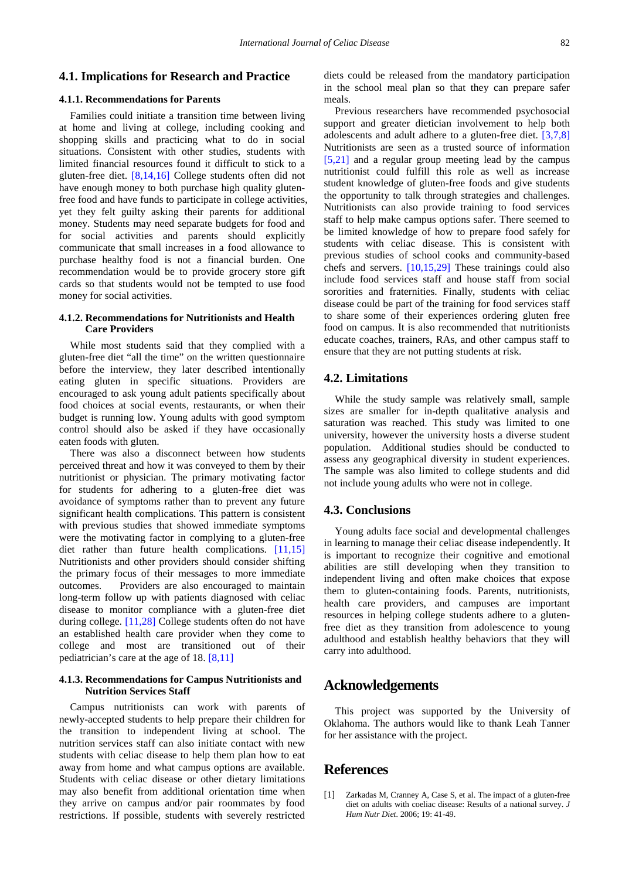## **4.1. Implications for Research and Practice**

# **4.1.1. Recommendations for Parents**

Families could initiate a transition time between living at home and living at college, including cooking and shopping skills and practicing what to do in social situations. Consistent with other studies, students with limited financial resources found it difficult to stick to a gluten-free diet. [\[8,14,16\]](#page-5-13) College students often did not have enough money to both purchase high quality glutenfree food and have funds to participate in college activities, yet they felt guilty asking their parents for additional money. Students may need separate budgets for food and for social activities and parents should explicitly communicate that small increases in a food allowance to purchase healthy food is not a financial burden. One recommendation would be to provide grocery store gift cards so that students would not be tempted to use food money for social activities.

## **4.1.2. Recommendations for Nutritionists and Health Care Providers**

While most students said that they complied with a gluten-free diet "all the time" on the written questionnaire before the interview, they later described intentionally eating gluten in specific situations. Providers are encouraged to ask young adult patients specifically about food choices at social events, restaurants, or when their budget is running low. Young adults with good symptom control should also be asked if they have occasionally eaten foods with gluten.

There was also a disconnect between how students perceived threat and how it was conveyed to them by their nutritionist or physician. The primary motivating factor for students for adhering to a gluten-free diet was avoidance of symptoms rather than to prevent any future significant health complications. This pattern is consistent with previous studies that showed immediate symptoms were the motivating factor in complying to a gluten-free diet rather than future health complications. [\[11,15\]](#page-5-14) Nutritionists and other providers should consider shifting the primary focus of their messages to more immediate outcomes. Providers are also encouraged to maintain long-term follow up with patients diagnosed with celiac disease to monitor compliance with a gluten-free diet during college. [\[11,28\]](#page-5-14) College students often do not have an established health care provider when they come to college and most are transitioned out of their pediatrician's care at the age of 18. [\[8,11\]](#page-5-13)

## **4.1.3. Recommendations for Campus Nutritionists and Nutrition Services Staff**

Campus nutritionists can work with parents of newly-accepted students to help prepare their children for the transition to independent living at school. The nutrition services staff can also initiate contact with new students with celiac disease to help them plan how to eat away from home and what campus options are available. Students with celiac disease or other dietary limitations may also benefit from additional orientation time when they arrive on campus and/or pair roommates by food restrictions. If possible, students with severely restricted

diets could be released from the mandatory participation in the school meal plan so that they can prepare safer meals.

Previous researchers have recommended psychosocial support and greater dietician involvement to help both adolescents and adult adhere to a gluten-free diet. [\[3,7,8\]](#page-5-1) Nutritionists are seen as a trusted source of information [\[5,21\]](#page-5-15) and a regular group meeting lead by the campus nutritionist could fulfill this role as well as increase student knowledge of gluten-free foods and give students the opportunity to talk through strategies and challenges. Nutritionists can also provide training to food services staff to help make campus options safer. There seemed to be limited knowledge of how to prepare food safely for students with celiac disease. This is consistent with previous studies of school cooks and community-based chefs and servers. [\[10,15,29\]](#page-5-16) These trainings could also include food services staff and house staff from social sororities and fraternities. Finally, students with celiac disease could be part of the training for food services staff to share some of their experiences ordering gluten free food on campus. It is also recommended that nutritionists educate coaches, trainers, RAs, and other campus staff to ensure that they are not putting students at risk.

## **4.2. Limitations**

While the study sample was relatively small, sample sizes are smaller for in-depth qualitative analysis and saturation was reached. This study was limited to one university, however the university hosts a diverse student population. Additional studies should be conducted to assess any geographical diversity in student experiences. The sample was also limited to college students and did not include young adults who were not in college.

# **4.3. Conclusions**

Young adults face social and developmental challenges in learning to manage their celiac disease independently. It is important to recognize their cognitive and emotional abilities are still developing when they transition to independent living and often make choices that expose them to gluten-containing foods. Parents, nutritionists, health care providers, and campuses are important resources in helping college students adhere to a glutenfree diet as they transition from adolescence to young adulthood and establish healthy behaviors that they will carry into adulthood.

# **Acknowledgements**

This project was supported by the University of Oklahoma. The authors would like to thank Leah Tanner for her assistance with the project.

# **References**

<span id="page-4-0"></span>[1] Zarkadas M, Cranney A, Case S, et al. The impact of a gluten-free diet on adults with coeliac disease: Results of a national survey. *J Hum Nutr Diet.* 2006; 19: 41-49.